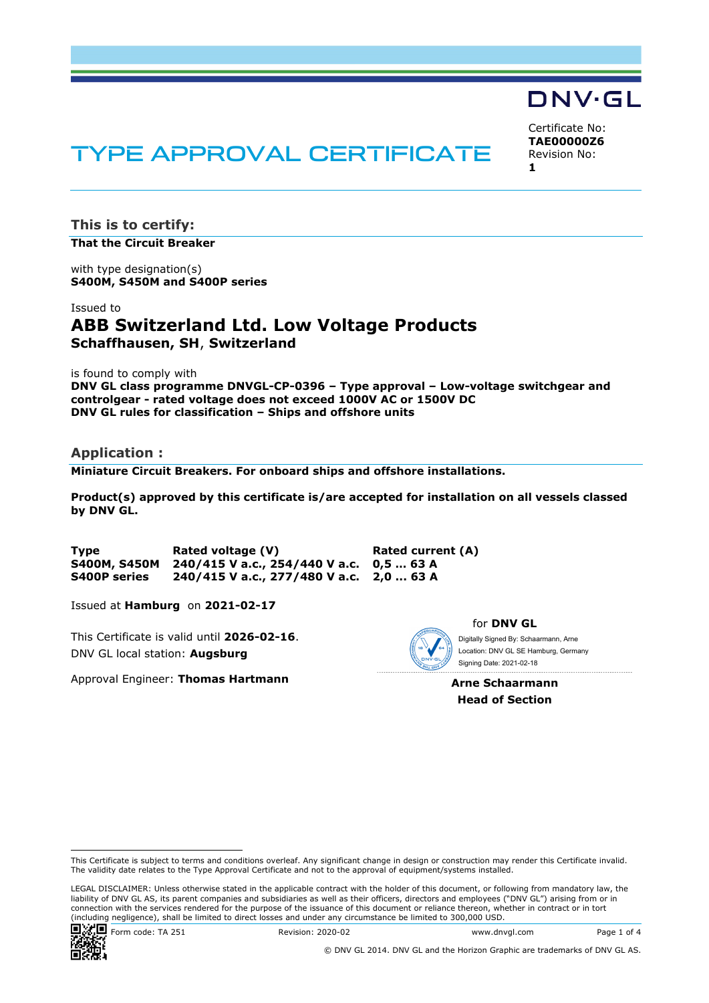# TYPE APPROVAL CERTIFICATE

Certificate No: **TAE00000Z6** Revision No: **1** 

DNV·GL

**This is to certify: That the Circuit Breaker**

with type designation(s) **S400M, S450M and S400P series**

#### Issued to

# **ABB Switzerland Ltd. Low Voltage Products Schaffhausen, SH**, **Switzerland**

is found to comply with

**DNV GL class programme DNVGL-CP-0396 – Type approval – Low-voltage switchgear and controlgear - rated voltage does not exceed 1000V AC or 1500V DC DNV GL rules for classification – Ships and offshore units** 

### **Application :**

**Miniature Circuit Breakers. For onboard ships and offshore installations.** 

**Product(s) approved by this certificate is/are accepted for installation on all vessels classed by DNV GL.** 

**Type Rated voltage (V) Rated current (A) S400M, S450M 240/415 V a.c., 254/440 V a.c. 0,5 … 63 A S400P series 240/415 V a.c., 277/480 V a.c. 2,0 ... 63 A** 

Issued at **Hamburg** on **2021-02-17**

This Certificate is valid until **2026-02-16**. DNV GL local station: **Augsburg**

Approval Engineer: **Thomas Hartmann**



for **DNV GL**

 Signing Date: 2021-02-18 Digitally Signed By: Schaarmann, Arne Location: DNV GL SE Hamburg, Germany

**Arne Schaarmann Head of Section** 

LEGAL DISCLAIMER: Unless otherwise stated in the applicable contract with the holder of this document, or following from mandatory law, the liability of DNV GL AS, its parent companies and subsidiaries as well as their officers, directors and employees ("DNV GL") arising from or in connection with the services rendered for the purpose of the issuance of this document or reliance thereon, whether in contract or in tort (including negligence), shall be limited to direct losses and under any circumstance be limited to 300,000 USD.



Form code: TA 251 Revision: 2020-02 Www.dnvgl.com Page 1 of 4

This Certificate is subject to terms and conditions overleaf. Any significant change in design or construction may render this Certificate invalid. The validity date relates to the Type Approval Certificate and not to the approval of equipment/systems installed.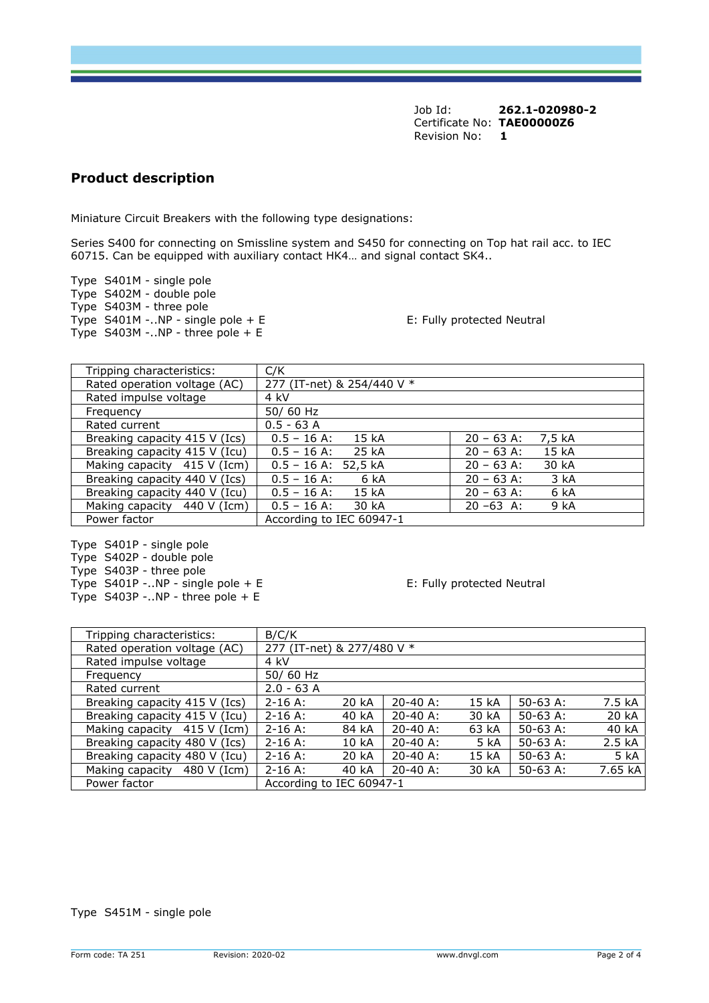Job Id: **262.1-020980-2**  Certificate No: **TAE00000Z6** Revision No: **1** 

## **Product description**

Miniature Circuit Breakers with the following type designations:

Series S400 for connecting on Smissline system and S450 for connecting on Top hat rail acc. to IEC 60715. Can be equipped with auxiliary contact HK4… and signal contact SK4..

Type S401M - single pole Type S402M - double pole Type S403M - three pole Type S401M -..NP - single pole + E E E Example 1 E: Fully protected Neutral Type S403M -..NP - three pole + E

| Tripping characteristics:     | C/K                               |                        |
|-------------------------------|-----------------------------------|------------------------|
| Rated operation voltage (AC)  | 277 (IT-net) & 254/440 V *        |                        |
| Rated impulse voltage         | 4 kV                              |                        |
| Frequency                     | 50/60 Hz                          |                        |
| Rated current                 | $0.5 - 63$ A                      |                        |
| Breaking capacity 415 V (Ics) | $0.5 - 16$ A:<br>15 <sub>kA</sub> | $20 - 63$ A:<br>7,5 kA |
| Breaking capacity 415 V (Icu) | 25 kA<br>$0.5 - 16$ A:            | 15 kA<br>$20 - 63$ A:  |
| Making capacity 415 V (Icm)   | $0.5 - 16$ A: 52,5 kA             | $20 - 63$ A:<br>30 kA  |
| Breaking capacity 440 V (Ics) | $0.5 - 16$ A:<br>6 kA             | $20 - 63$ A:<br>3 kA   |
| Breaking capacity 440 V (Icu) | $0.5 - 16$ A:<br>15kA             | $20 - 63$ A:<br>6 kA   |
| Making capacity 440 V (Icm)   | $0.5 - 16$ A:<br>30 kA            | $20 - 63$ A:<br>9 kA   |
| Power factor                  | According to IEC 60947-1          |                        |

Type S401P - single pole Type S402P - double pole Type S403P - three pole Type  $S401P$  -..NP - single pole + E E Example 1 E: Fully protected Neutral Type  $S403P$  -..NP - three pole + E

| Tripping characteristics:      | B/C/K                      |                  |              |       |            |         |
|--------------------------------|----------------------------|------------------|--------------|-------|------------|---------|
| Rated operation voltage (AC)   | 277 (IT-net) & 277/480 V * |                  |              |       |            |         |
| Rated impulse voltage          | 4 kV                       |                  |              |       |            |         |
| Frequency                      | 50/60 Hz                   |                  |              |       |            |         |
| Rated current                  | $2.0 - 63$ A               |                  |              |       |            |         |
| Breaking capacity 415 V (Ics)  | $2 - 16$ A:                | 20 kA            | $20 - 40$ A: | 15 kA | $50-63$ A: | 7.5 kA  |
| Breaking capacity 415 V (Icu)  | $2 - 16$ A:                | 40 kA            | $20 - 40$ A: | 30 kA | $50-63$ A: | 20 kA   |
| Making capacity 415 V (Icm)    | $2 - 16$ A:                | 84 kA            | $20-40$ A:   | 63 kA | $50-63$ A: | 40 kA   |
| Breaking capacity 480 V (Ics)  | $2 - 16$ A:                | 10 <sub>kA</sub> | $20 - 40$ A: | 5 kA  | $50-63$ A: | 2.5 kA  |
| Breaking capacity 480 V (Icu)  | $2 - 16$ A:                | 20 kA            | $20 - 40$ A: | 15 kA | $50-63$ A: | 5 kA    |
| Making capacity<br>480 V (Icm) | $2 - 16$ A:                | 40 kA            | $20 - 40$ A: | 30 kA | $50-63$ A: | 7.65 kA |
| Power factor                   | According to IEC 60947-1   |                  |              |       |            |         |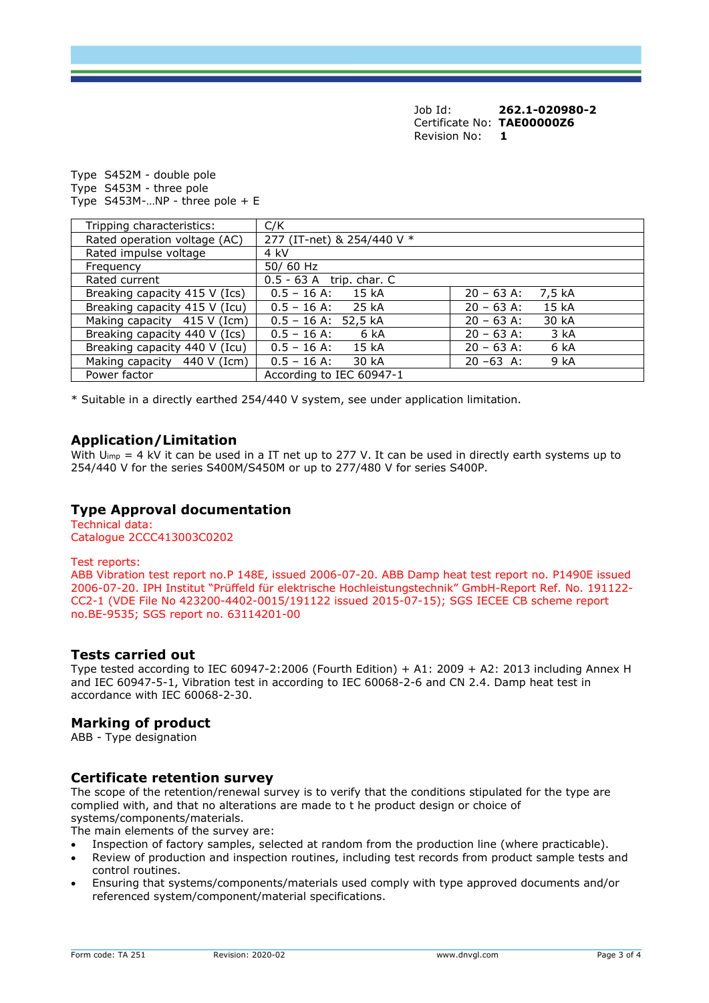Job Id: **262.1-020980-2**  Certificate No: **TAE00000Z6** Revision No: **1** 

Type S452M - double pole Type S453M - three pole Type  $S453M$ -...NP - three pole + E

| Tripping characteristics:     | C/K                                                       |
|-------------------------------|-----------------------------------------------------------|
| Rated operation voltage (AC)  | 277 (IT-net) & 254/440 V *                                |
| Rated impulse voltage         | 4 kV                                                      |
| Frequency                     | 50/60 Hz                                                  |
| Rated current                 | 0.5 - 63 A trip. char. C                                  |
| Breaking capacity 415 V (Ics) | 15kA<br>$0.5 - 16$ A:<br>$20 - 63$ A:<br>7.5 kA           |
| Breaking capacity 415 V (Icu) | 25 kA<br>15kA<br>$0.5 - 16$ A:<br>$20 - 63$ A:            |
| Making capacity 415 V (Icm)   | $0.5 - 16$ A: 52,5 kA<br>$20 - 63$ A:<br>30 kA            |
| Breaking capacity 440 V (Ics) | $0.5 - 16$ A:<br>3 kA<br>6 kA<br>$20 - 63$ A:             |
| Breaking capacity 440 V (Icu) | 15 <sub>kA</sub><br>$20 - 63$ A:<br>6 kA<br>$0.5 - 16$ A: |
| Making capacity 440 V (Icm)   | $0.5 - 16$ A:<br>30 kA<br>$20 - 63$ A:<br>9 kA            |
| Power factor                  | According to IEC 60947-1                                  |

\* Suitable in a directly earthed 254/440 V system, see under application limitation.

### **Application/Limitation**

With  $U_{\text{imp}} = 4$  kV it can be used in a IT net up to 277 V. It can be used in directly earth systems up to 254/440 V for the series S400M/S450M or up to 277/480 V for series S400P.

### **Type Approval documentation**

Technical data: Catalogue 2CCC413003C0202

#### Test reports:

ABB Vibration test report no.P 148E, issued 2006-07-20. ABB Damp heat test report no. P1490E issued 2006-07-20. IPH Institut "Prüffeld für elektrische Hochleistungstechnik" GmbH-Report Ref. No. 191122- CC2-1 (VDE File No 423200-4402-0015/191122 issued 2015-07-15); SGS IECEE CB scheme report no.BE-9535; SGS report no. 63114201-00

### **Tests carried out**

Type tested according to IEC 60947-2:2006 (Fourth Edition) + A1: 2009 + A2: 2013 including Annex H and IEC 60947-5-1, Vibration test in according to IEC 60068-2-6 and CN 2.4. Damp heat test in accordance with IEC 60068-2-30.

### **Marking of product**

ABB - Type designation

### **Certificate retention survey**

The scope of the retention/renewal survey is to verify that the conditions stipulated for the type are complied with, and that no alterations are made to t he product design or choice of systems/components/materials.

The main elements of the survey are:

- Inspection of factory samples, selected at random from the production line (where practicable).
- Review of production and inspection routines, including test records from product sample tests and control routines.
- Ensuring that systems/components/materials used comply with type approved documents and/or referenced system/component/material specifications.